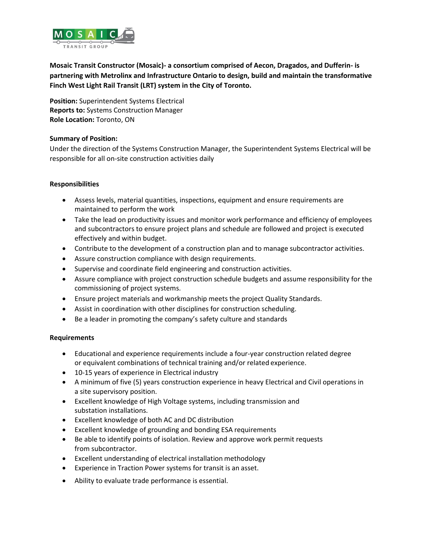

**Mosaic Transit Constructor (Mosaic)- a consortium comprised of Aecon, Dragados, and Dufferin- is partnering with Metrolinx and Infrastructure Ontario to design, build and maintain the transformative Finch West Light Rail Transit (LRT) system in the City of Toronto.**

**Position:** Superintendent Systems Electrical **Reports to:** Systems Construction Manager **Role Location:** Toronto, ON

## **Summary of Position:**

Under the direction of the Systems Construction Manager, the Superintendent Systems Electrical will be responsible for all on-site construction activities daily

## **Responsibilities**

- Assess levels, material quantities, inspections, equipment and ensure requirements are maintained to perform the work
- Take the lead on productivity issues and monitor work performance and efficiency of employees and subcontractors to ensure project plans and schedule are followed and project is executed effectively and within budget.
- Contribute to the development of a construction plan and to manage subcontractor activities.
- Assure construction compliance with design requirements.
- Supervise and coordinate field engineering and construction activities.
- Assure compliance with project construction schedule budgets and assume responsibility for the commissioning of project systems.
- Ensure project materials and workmanship meets the project Quality Standards.
- Assist in coordination with other disciplines for construction scheduling.
- Be a leader in promoting the company's safety culture and standards

## **Requirements**

- Educational and experience requirements include a four-year construction related degree or equivalent combinations of technical training and/or related experience.
- 10-15 years of experience in Electrical industry
- A minimum of five (5) years construction experience in heavy Electrical and Civil operations in a site supervisory position.
- Excellent knowledge of High Voltage systems, including transmission and substation installations.
- Excellent knowledge of both AC and DC distribution
- Excellent knowledge of grounding and bonding ESA requirements
- Be able to identify points of isolation. Review and approve work permit requests from subcontractor.
- Excellent understanding of electrical installation methodology
- Experience in Traction Power systems for transit is an asset.
- Ability to evaluate trade performance is essential.